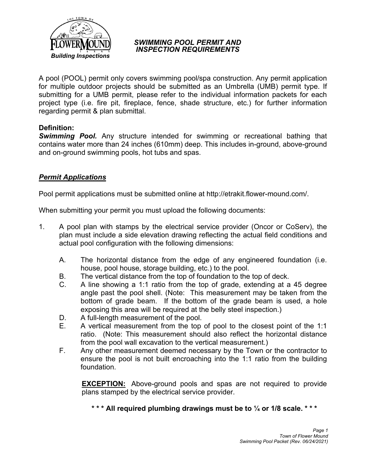

#### *SWIMMING POOL PERMIT AND INSPECTION REQUIREMENTS*

A pool (POOL) permit only covers swimming pool/spa construction. Any permit application for multiple outdoor projects should be submitted as an Umbrella (UMB) permit type. If submitting for a UMB permit, please refer to the individual information packets for each project type (i.e. fire pit, fireplace, fence, shade structure, etc.) for further information regarding permit & plan submittal.

# **Definition:**

*Swimming Pool.* Any structure intended for swimming or recreational bathing that contains water more than 24 inches (610mm) deep. This includes in-ground, above-ground and on-ground swimming pools, hot tubs and spas.

# *Permit Applications*

Pool permit applications must be submitted online at http://etrakit.flower-mound.com/.

When submitting your permit you must upload the following documents:

- 1. A pool plan with stamps by the electrical service provider (Oncor or CoServ), the plan must include a side elevation drawing reflecting the actual field conditions and actual pool configuration with the following dimensions:
	- A. The horizontal distance from the edge of any engineered foundation (i.e. house, pool house, storage building, etc.) to the pool.
	- B. The vertical distance from the top of foundation to the top of deck.
	- C. A line showing a 1:1 ratio from the top of grade, extending at a 45 degree angle past the pool shell. (Note: This measurement may be taken from the bottom of grade beam. If the bottom of the grade beam is used, a hole exposing this area will be required at the belly steel inspection.)
	- D. A full-length measurement of the pool.
	- E. A vertical measurement from the top of pool to the closest point of the 1:1 ratio. (Note: This measurement should also reflect the horizontal distance from the pool wall excavation to the vertical measurement.)
	- F. Any other measurement deemed necessary by the Town or the contractor to ensure the pool is not built encroaching into the 1:1 ratio from the building foundation.

**EXCEPTION:** Above-ground pools and spas are not required to provide plans stamped by the electrical service provider.

**\* \* \* All required plumbing drawings must be to ¼ or 1/8 scale. \* \* \***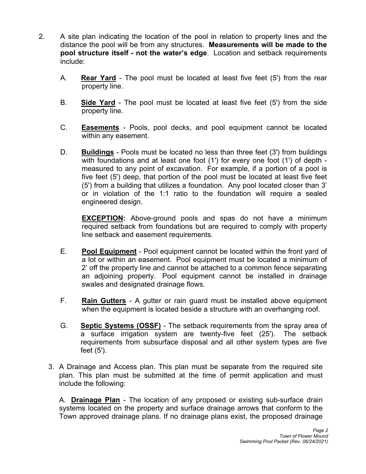- 2. A site plan indicating the location of the pool in relation to property lines and the distance the pool will be from any structures. **Measurements will be made to the pool structure itself - not the water's edge**. Location and setback requirements include:
	- A. **Rear Yard** The pool must be located at least five feet (5') from the rear property line.
	- B. **Side Yard** The pool must be located at least five feet (5') from the side property line.
	- C. **Easements** Pools, pool decks, and pool equipment cannot be located within any easement.
	- D. **Buildings** Pools must be located no less than three feet (3') from buildings with foundations and at least one foot (1') for every one foot (1') of depth measured to any point of excavation. For example, if a portion of a pool is five feet (5') deep, that portion of the pool must be located at least five feet (5') from a building that utilizes a foundation. Any pool located closer than 3' or in violation of the 1:1 ratio to the foundation will require a sealed engineered design.

**EXCEPTION:** Above-ground pools and spas do not have a minimum required setback from foundations but are required to comply with property line setback and easement requirements.

- E. **Pool Equipment** Pool equipment cannot be located within the front yard of a lot or within an easement. Pool equipment must be located a minimum of 2' off the property line and cannot be attached to a common fence separating an adjoining property. Pool equipment cannot be installed in drainage swales and designated drainage flows.
- F. **Rain Gutters** A gutter or rain guard must be installed above equipment when the equipment is located beside a structure with an overhanging roof.
- G. **Septic Systems (OSSF)** The setback requirements from the spray area of a surface irrigation system are twenty-five feet (25'). The setback requirements from subsurface disposal and all other system types are five feet (5').
- 3. A Drainage and Access plan. This plan must be separate from the required site plan. This plan must be submitted at the time of permit application and must include the following:

A. **Drainage Plan** - The location of any proposed or existing sub-surface drain systems located on the property and surface drainage arrows that conform to the Town approved drainage plans. If no drainage plans exist, the proposed drainage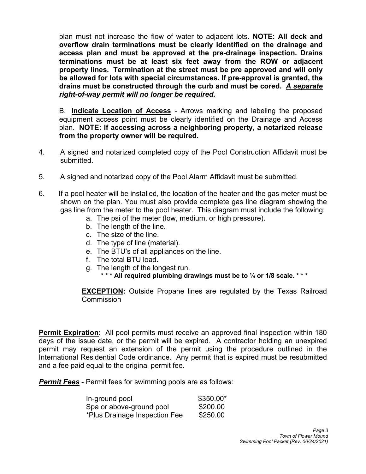plan must not increase the flow of water to adjacent lots. **NOTE: All deck and overflow drain terminations must be clearly Identified on the drainage and access plan and must be approved at the pre-drainage inspection. Drains terminations must be at least six feet away from the ROW or adjacent property lines. Termination at the street must be pre approved and will only be allowed for lots with special circumstances. If pre-approval is granted, the drains must be constructed through the curb and must be cored.** *A separate right-of-way permit will no longer be required.*

B. **Indicate Location of Access** - Arrows marking and labeling the proposed equipment access point must be clearly identified on the Drainage and Access plan. **NOTE: If accessing across a neighboring property, a notarized release from the property owner will be required.**

- 4. A signed and notarized completed copy of the Pool Construction Affidavit must be submitted.
- 5. A signed and notarized copy of the Pool Alarm Affidavit must be submitted.
- 6. If a pool heater will be installed, the location of the heater and the gas meter must be shown on the plan. You must also provide complete gas line diagram showing the gas line from the meter to the pool heater. This diagram must include the following:
	- a. The psi of the meter (low, medium, or high pressure).
	- b. The length of the line.
	- c. The size of the line.
	- d. The type of line (material).
	- e. The BTU's of all appliances on the line.
	- f. The total BTU load.
	- g. The length of the longest run.
		- **\* \* \* All required plumbing drawings must be to ¼ or 1/8 scale. \* \* \***

**EXCEPTION:** Outside Propane lines are regulated by the Texas Railroad **Commission** 

**Permit Expiration:** All pool permits must receive an approved final inspection within 180 days of the issue date, or the permit will be expired. A contractor holding an unexpired permit may request an extension of the permit using the procedure outlined in the International Residential Code ordinance. Any permit that is expired must be resubmitted and a fee paid equal to the original permit fee.

*Permit Fees* - Permit fees for swimming pools are as follows:

| In-ground pool                | \$350.00* |
|-------------------------------|-----------|
| Spa or above-ground pool      | \$200.00  |
| *Plus Drainage Inspection Fee | \$250.00  |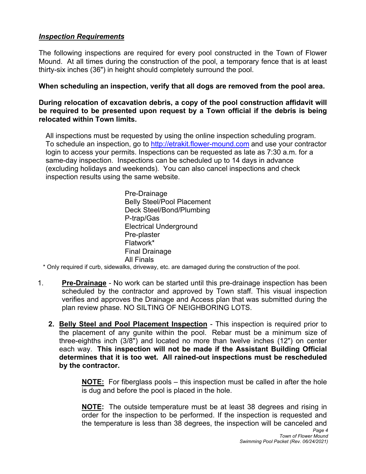# *Inspection Requirements*

The following inspections are required for every pool constructed in the Town of Flower Mound. At all times during the construction of the pool, a temporary fence that is at least thirty-six inches (36") in height should completely surround the pool.

#### **When scheduling an inspection, verify that all dogs are removed from the pool area.**

**During relocation of excavation debris, a copy of the pool construction affidavit will be required to be presented upon request by a Town official if the debris is being relocated within Town limits.**

All inspections must be requested by using the online inspection scheduling program. To schedule an inspection, go to http://etrakit.flower-mound.com and use your contractor login to access your permits. Inspections can be requested as late as 7:30 a.m. for a same-day inspection. Inspections can be scheduled up to 14 days in advance (excluding holidays and weekends). You can also cancel inspections and check inspection results using the same website.

> Pre-Drainage Belly Steel/Pool Placement Deck Steel/Bond/Plumbing P-trap/Gas Electrical Underground Pre-plaster Flatwork\* Final Drainage

All Finals \* Only required if curb, sidewalks, driveway, etc. are damaged during the construction of the pool.

- 1. **Pre-Drainage** No work can be started until this pre-drainage inspection has been scheduled by the contractor and approved by Town staff. This visual inspection verifies and approves the Drainage and Access plan that was submitted during the plan review phase. NO SILTING OF NEIGHBORING LOTS.
	- **2. Belly Steel and Pool Placement Inspection**  This inspection is required prior to the placement of any gunite within the pool. Rebar must be a minimum size of three-eighths inch (3/8") and located no more than twelve inches (12") on center each way. **This inspection will not be made if the Assistant Building Official determines that it is too wet. All rained-out inspections must be rescheduled by the contractor.**

**NOTE:** For fiberglass pools – this inspection must be called in after the hole is dug and before the pool is placed in the hole.

**NOTE:** The outside temperature must be at least 38 degrees and rising in order for the inspection to be performed. If the inspection is requested and the temperature is less than 38 degrees, the inspection will be canceled and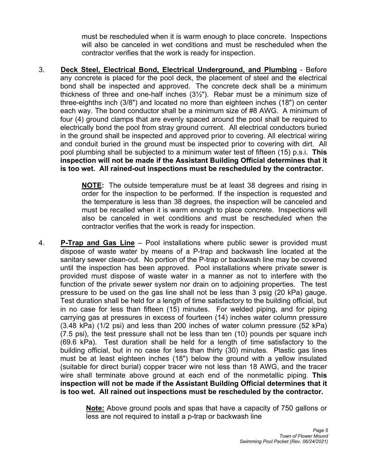must be rescheduled when it is warm enough to place concrete. Inspections will also be canceled in wet conditions and must be rescheduled when the contractor verifies that the work is ready for inspection.

3. **Deck Steel, Electrical Bond, Electrical Underground, and Plumbing** - Before any concrete is placed for the pool deck, the placement of steel and the electrical bond shall be inspected and approved. The concrete deck shall be a minimum thickness of three and one-half inches  $(3\frac{1}{2})$ . Rebar must be a minimum size of three-eighths inch (3/8") and located no more than eighteen inches (18") on center each way. The bond conductor shall be a minimum size of #8 AWG. A minimum of four (4) ground clamps that are evenly spaced around the pool shall be required to electrically bond the pool from stray ground current. All electrical conductors buried in the ground shall be inspected and approved prior to covering. All electrical wiring and conduit buried in the ground must be inspected prior to covering with dirt. All pool plumbing shall be subjected to a minimum water test of fifteen (15) p.s.i. **This inspection will not be made if the Assistant Building Official determines that it is too wet. All rained-out inspections must be rescheduled by the contractor.**

> **NOTE:** The outside temperature must be at least 38 degrees and rising in order for the inspection to be performed. If the inspection is requested and the temperature is less than 38 degrees, the inspection will be canceled and must be recalled when it is warm enough to place concrete. Inspections will also be canceled in wet conditions and must be rescheduled when the contractor verifies that the work is ready for inspection.

4. **P-Trap and Gas Line** – Pool installations where public sewer is provided must dispose of waste water by means of a P-trap and backwash line located at the sanitary sewer clean-out. No portion of the P-trap or backwash line may be covered until the inspection has been approved. Pool installations where private sewer is provided must dispose of waste water in a manner as not to interfere with the function of the private sewer system nor drain on to adjoining properties. The test pressure to be used on the gas line shall not be less than 3 psig (20 kPa) gauge. Test duration shall be held for a length of time satisfactory to the building official, but in no case for less than fifteen (15) minutes. For welded piping, and for piping carrying gas at pressures in excess of fourteen (14) inches water column pressure (3.48 kPa) (1/2 psi) and less than 200 inches of water column pressure (52 kPa) (7.5 psi), the test pressure shall not be less than ten (10) pounds per square inch (69.6 kPa). Test duration shall be held for a length of time satisfactory to the building official, but in no case for less than thirty (30) minutes. Plastic gas lines must be at least eighteen inches (18") below the ground with a yellow insulated (suitable for direct burial) copper tracer wire not less than 18 AWG, and the tracer wire shall terminate above ground at each end of the nonmetallic piping. **This inspection will not be made if the Assistant Building Official determines that it is too wet. All rained out inspections must be rescheduled by the contractor.** 

> **Note:** Above ground pools and spas that have a capacity of 750 gallons or less are not required to install a p-trap or backwash line